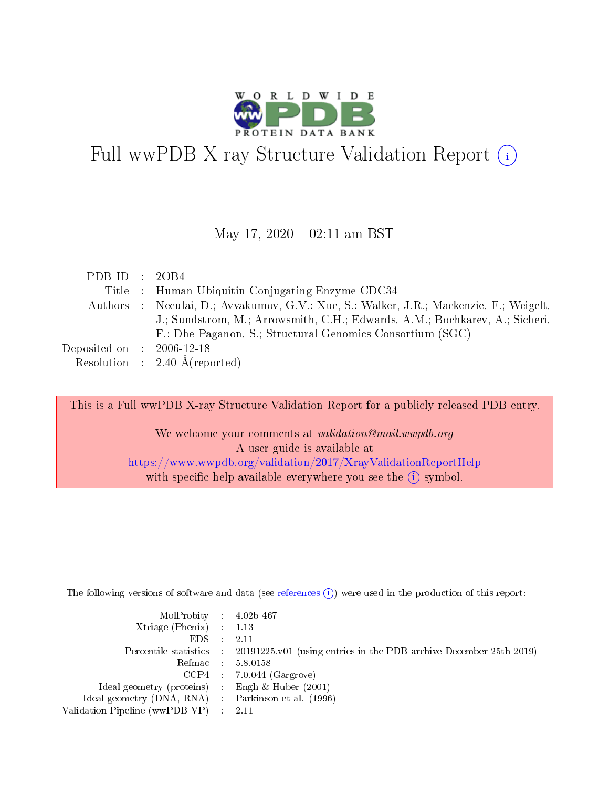

# Full wwPDB X-ray Structure Validation Report (i)

#### May 17,  $2020 - 02:11$  am BST

| PDB ID : $2OB4$                      |                                                                                        |
|--------------------------------------|----------------------------------------------------------------------------------------|
|                                      | Title : Human Ubiquitin-Conjugating Enzyme CDC34                                       |
|                                      | Authors : Neculai, D.; Avvakumov, G.V.; Xue, S.; Walker, J.R.; Mackenzie, F.; Weigelt, |
|                                      | J.; Sundstrom, M.; Arrowsmith, C.H.; Edwards, A.M.; Bochkarev, A.; Sicheri,            |
|                                      | F.; Dhe-Paganon, S.; Structural Genomics Consortium (SGC)                              |
| Deposited on $\therefore$ 2006-12-18 |                                                                                        |
|                                      | Resolution : 2.40 $\AA$ (reported)                                                     |

This is a Full wwPDB X-ray Structure Validation Report for a publicly released PDB entry.

We welcome your comments at *validation@mail.wwpdb.org* A user guide is available at <https://www.wwpdb.org/validation/2017/XrayValidationReportHelp> with specific help available everywhere you see the  $(i)$  symbol.

The following versions of software and data (see [references](https://www.wwpdb.org/validation/2017/XrayValidationReportHelp#references)  $(i)$ ) were used in the production of this report:

| $MolProbability$ 4.02b-467<br>Xtriage (Phenix) $: 1.13$ |                                                                                                     |
|---------------------------------------------------------|-----------------------------------------------------------------------------------------------------|
| $EDS$ :                                                 | -2.11<br>Percentile statistics : 20191225.v01 (using entries in the PDB archive December 25th 2019) |
|                                                         | Refmac : 5.8.0158                                                                                   |
|                                                         | $CCP4$ : 7.0.044 (Gargrove)                                                                         |
| Ideal geometry (proteins) : Engh $\&$ Huber (2001)      |                                                                                                     |
| Ideal geometry (DNA, RNA) : Parkinson et al. (1996)     |                                                                                                     |
| Validation Pipeline (wwPDB-VP) :                        | -2.11                                                                                               |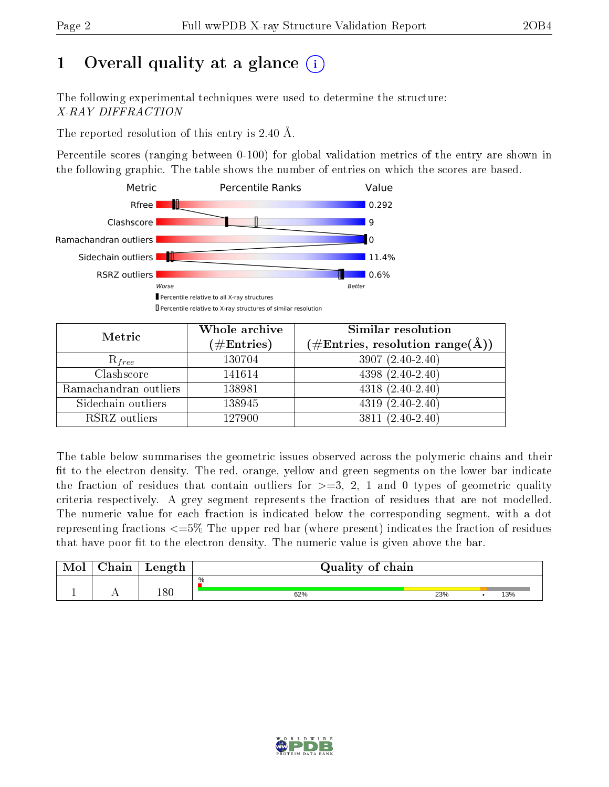# 1 [O](https://www.wwpdb.org/validation/2017/XrayValidationReportHelp#overall_quality)verall quality at a glance  $(i)$

The following experimental techniques were used to determine the structure: X-RAY DIFFRACTION

The reported resolution of this entry is 2.40 Å.

Percentile scores (ranging between 0-100) for global validation metrics of the entry are shown in the following graphic. The table shows the number of entries on which the scores are based.



| Metric                | Whole archive<br>$(\#\text{Entries})$ | Similar resolution<br>$(\#\text{Entries}, \text{resolution range}(\text{\AA}))$ |  |  |
|-----------------------|---------------------------------------|---------------------------------------------------------------------------------|--|--|
| $R_{free}$            | 130704                                | $3907(2.40-2.40)$                                                               |  |  |
| Clashscore            | 141614                                | $4398(2.40-2.40)$                                                               |  |  |
| Ramachandran outliers | 138981                                | $4318(2.40-2.40)$                                                               |  |  |
| Sidechain outliers    | 138945                                | $4319(2.40-2.40)$                                                               |  |  |
| RSRZ outliers         | 127900                                | $3811(2.40-2.40)$                                                               |  |  |

The table below summarises the geometric issues observed across the polymeric chains and their fit to the electron density. The red, orange, yellow and green segments on the lower bar indicate the fraction of residues that contain outliers for  $>=$  3, 2, 1 and 0 types of geometric quality criteria respectively. A grey segment represents the fraction of residues that are not modelled. The numeric value for each fraction is indicated below the corresponding segment, with a dot representing fractions  $\epsilon=5\%$  The upper red bar (where present) indicates the fraction of residues that have poor fit to the electron density. The numeric value is given above the bar.

|           | $\alpha$ hain | Length | Quality of chain |     |     |
|-----------|---------------|--------|------------------|-----|-----|
|           |               |        | $\%$             |     |     |
| <u>д.</u> | . .           | 180    | 62%              | 23% | 13% |

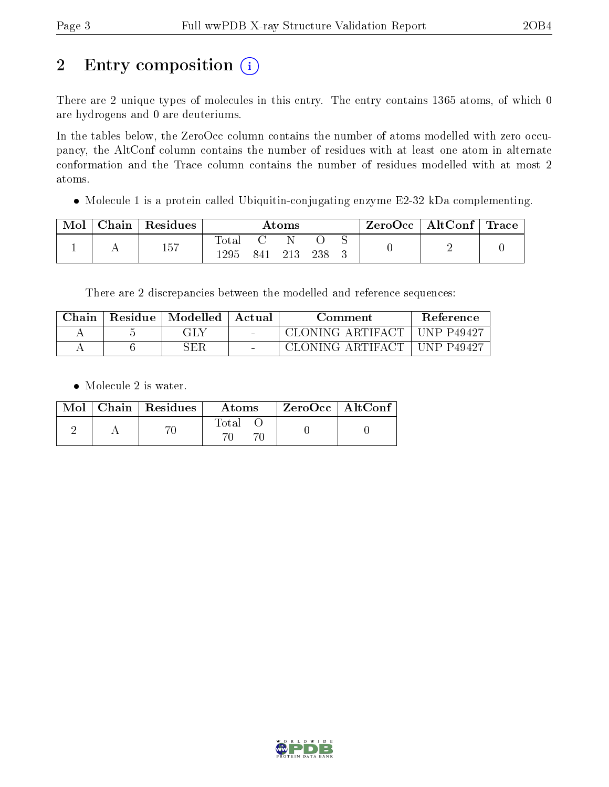# 2 Entry composition (i)

There are 2 unique types of molecules in this entry. The entry contains 1365 atoms, of which 0 are hydrogens and 0 are deuteriums.

In the tables below, the ZeroOcc column contains the number of atoms modelled with zero occupancy, the AltConf column contains the number of residues with at least one atom in alternate conformation and the Trace column contains the number of residues modelled with at most 2 atoms.

• Molecule 1 is a protein called Ubiquitin-conjugating enzyme E2-32 kDa complementing.

| Mol | Chain   Residues | $\rm{Atoms}$  |     |       | $\rm ZeroOcc$   AltConf   Trace |  |  |  |
|-----|------------------|---------------|-----|-------|---------------------------------|--|--|--|
|     | 157              | Total<br>1295 | 841 | -213- | 238                             |  |  |  |

There are 2 discrepancies between the modelled and reference sequences:

| Chain | Residue | $\mathop{\boxplus}$ Modelled $\mathop{\boxplus}$ Actual | Comment                       | <b>Reference</b> |
|-------|---------|---------------------------------------------------------|-------------------------------|------------------|
|       |         | GLY                                                     | CLONING ARTIFACT   UNP P49427 |                  |
|       |         | SER                                                     | CLONING ARTIFACT   UNP P49427 |                  |

• Molecule 2 is water.

|  | $Mol$   Chain   Residues | Atoms | ZeroOcc   AltConf |
|--|--------------------------|-------|-------------------|
|  |                          | Total |                   |

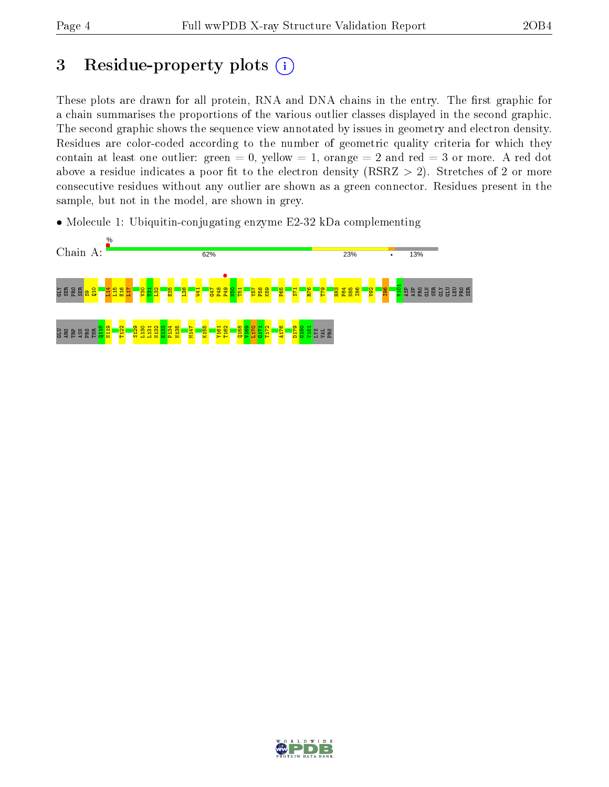# 3 Residue-property plots  $(i)$

These plots are drawn for all protein, RNA and DNA chains in the entry. The first graphic for a chain summarises the proportions of the various outlier classes displayed in the second graphic. The second graphic shows the sequence view annotated by issues in geometry and electron density. Residues are color-coded according to the number of geometric quality criteria for which they contain at least one outlier: green  $= 0$ , yellow  $= 1$ , orange  $= 2$  and red  $= 3$  or more. A red dot above a residue indicates a poor fit to the electron density (RSRZ  $> 2$ ). Stretches of 2 or more consecutive residues without any outlier are shown as a green connector. Residues present in the sample, but not in the model, are shown in grey.

• Molecule 1: Ubiquitin-conjugating enzyme E2-32 kDa complementing



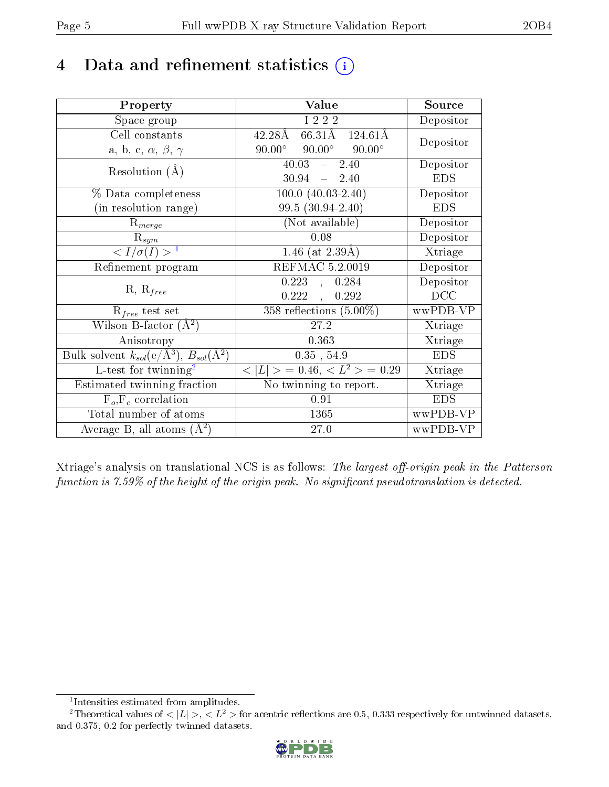# 4 Data and refinement statistics  $(i)$

| Property                                                         | Value                                             | Source     |
|------------------------------------------------------------------|---------------------------------------------------|------------|
| Space group                                                      | I 2 2 2                                           | Depositor  |
| Cell constants                                                   | $66.31\text{\AA}$<br>42.28Å<br>$124.61\text{\AA}$ | Depositor  |
| a, b, c, $\alpha$ , $\beta$ , $\gamma$                           | $90.00^{\circ}$ $90.00^{\circ}$<br>$90.00^\circ$  |            |
| Resolution $(A)$                                                 | $40.03 - 2.40$                                    | Depositor  |
|                                                                  | $30.94 - 2.40$                                    | <b>EDS</b> |
| % Data completeness                                              | $100.0 (40.03 - 2.40)$                            | Depositor  |
| (in resolution range)                                            | $99.5(30.94-2.40)$                                | <b>EDS</b> |
| $R_{merge}$                                                      | (Not available)                                   | Depositor  |
| $\mathrm{R}_{sym}$                                               | 0.08                                              | Depositor  |
| $\langle I/\sigma(I) \rangle^{-1}$                               | 1.46 (at $2.39\text{\AA})$                        | Xtriage    |
| Refinement program                                               | REFMAC 5.2.0019                                   | Depositor  |
| $R, R_{free}$                                                    | 0.223,<br>0.284                                   | Depositor  |
|                                                                  | 0.222,<br>0.292                                   | DCC        |
| $\mathcal{R}_{free}$ test set                                    | $358$ reflections $(5.00\%)$                      | wwPDB-VP   |
| Wilson B-factor $(A^2)$                                          | 27.2                                              | Xtriage    |
| Anisotropy                                                       | 0.363                                             | Xtriage    |
| Bulk solvent $k_{sol}(\text{e}/\text{A}^3), B_{sol}(\text{A}^2)$ | $0.35$ , $54.9$                                   | <b>EDS</b> |
| L-test for twinning <sup>2</sup>                                 | $< L >$ = 0.46, $< L2 >$ = 0.29                   | Xtriage    |
| Estimated twinning fraction                                      | No twinning to report.                            | Xtriage    |
| $F_o, F_c$ correlation                                           | 0.91                                              | <b>EDS</b> |
| Total number of atoms                                            | 1365                                              | wwPDB-VP   |
| Average B, all atoms $(A^2)$                                     | 27.0                                              | wwPDB-VP   |

Xtriage's analysis on translational NCS is as follows: The largest off-origin peak in the Patterson function is  $7.59\%$  of the height of the origin peak. No significant pseudotranslation is detected.

<sup>&</sup>lt;sup>2</sup>Theoretical values of  $\langle |L| \rangle$ ,  $\langle L^2 \rangle$  for acentric reflections are 0.5, 0.333 respectively for untwinned datasets, and 0.375, 0.2 for perfectly twinned datasets.



<span id="page-4-1"></span><span id="page-4-0"></span><sup>1</sup> Intensities estimated from amplitudes.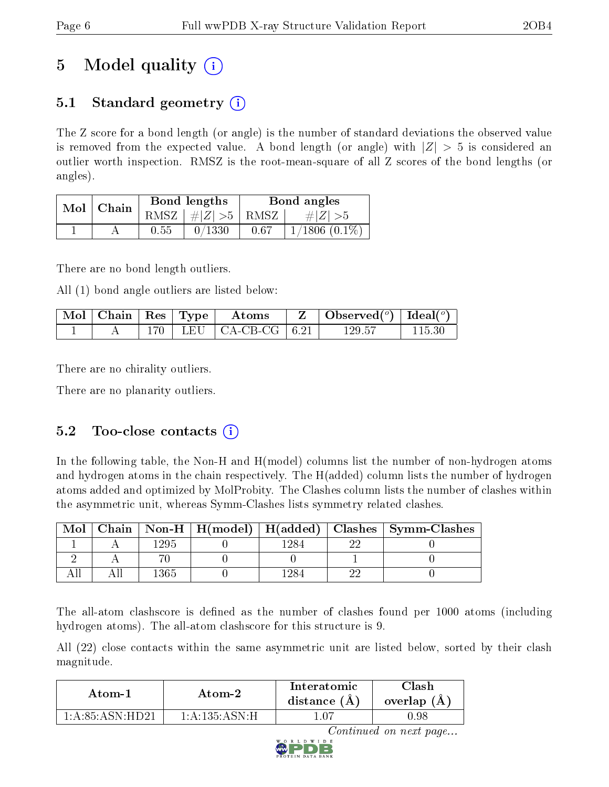# 5 Model quality  $(i)$

## 5.1 Standard geometry  $\overline{()}$

The Z score for a bond length (or angle) is the number of standard deviations the observed value is removed from the expected value. A bond length (or angle) with  $|Z| > 5$  is considered an outlier worth inspection. RMSZ is the root-mean-square of all Z scores of the bond lengths (or angles).

| Mol | Chain |      | Bond lengths                   | Bond angles |                    |  |
|-----|-------|------|--------------------------------|-------------|--------------------|--|
|     |       |      | RMSZ $\mid \#Z \mid >5$   RMSZ |             | $\# Z  > 5$        |  |
|     |       | 0.55 | 0/1330                         | 0.67        | $1/1806$ $(0.1\%)$ |  |

There are no bond length outliers.

All (1) bond angle outliers are listed below:

| $\mid$ Mol $\mid$ Chain $\mid$ Res $\mid$ Type $\mid$ |  | Atoms                         | $\mid$ Observed( <sup>o</sup> ) $\mid$ Ideal( <sup>o</sup> ) $\mid$ |  |
|-------------------------------------------------------|--|-------------------------------|---------------------------------------------------------------------|--|
|                                                       |  | $170$   LEU   CA-CB-CG   6.21 | 129.57                                                              |  |

There are no chirality outliers.

There are no planarity outliers.

### 5.2 Too-close contacts  $(i)$

In the following table, the Non-H and H(model) columns list the number of non-hydrogen atoms and hydrogen atoms in the chain respectively. The H(added) column lists the number of hydrogen atoms added and optimized by MolProbity. The Clashes column lists the number of clashes within the asymmetric unit, whereas Symm-Clashes lists symmetry related clashes.

| Mol |      |  | Chain   Non-H   H(model)   H(added)   Clashes   Symm-Clashes |
|-----|------|--|--------------------------------------------------------------|
|     | -295 |  |                                                              |
|     |      |  |                                                              |
|     | '365 |  |                                                              |

The all-atom clashscore is defined as the number of clashes found per 1000 atoms (including hydrogen atoms). The all-atom clashscore for this structure is 9.

All (22) close contacts within the same asymmetric unit are listed below, sorted by their clash magnitude.

| Atom-1           | Atom-2            | Interatomic<br>distance $(A)$ | Clash<br>overlap $(A)$ |  |
|------------------|-------------------|-------------------------------|------------------------|--|
| 1 A 85 A SN HD21 | 1: A: 135: A SN·H |                               | .98                    |  |

Continued on next page...

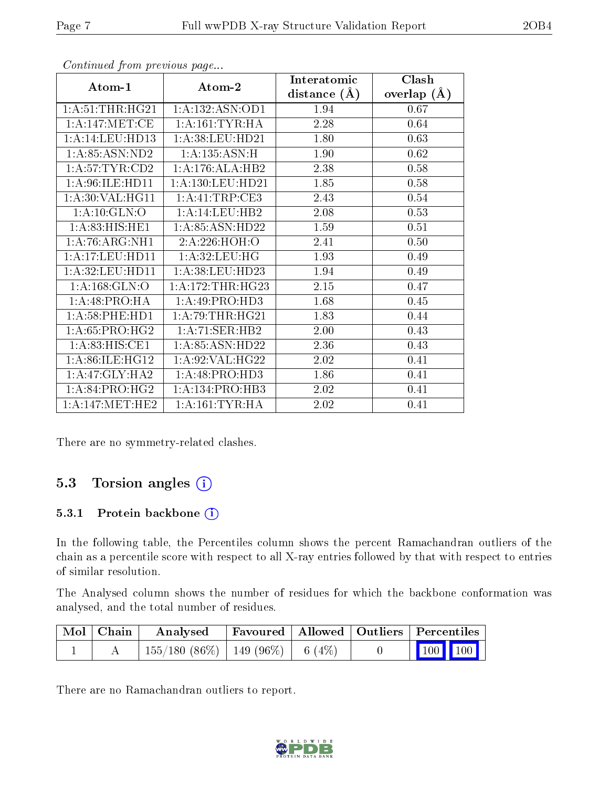|                    |                      | Interatomic    | Clash         |  |
|--------------------|----------------------|----------------|---------------|--|
| Atom-1             | Atom-2               | distance $(A)$ | overlap $(A)$ |  |
| 1: A:51:THR:HG21   | 1:A:132:ASN:OD1      | 1.94           | 0.67          |  |
| 1: A:147: MET:CE   | 1: A:161:TYR:HA      | 2.28           | 0.64          |  |
| 1:A:14:LEU:HD13    | 1: A:38: LEU: HD21   | 1.80           | 0.63          |  |
| 1:A:85:ASN:ND2     | 1: A: 135: ASN:H     | 1.90           | 0.62          |  |
| 1: A:57:TYR:CD2    | 1: A:176: ALA:HB2    | 2.38           | 0.58          |  |
| 1: A:96: ILE: HD11 | 1: A: 130: LEU: HD21 | 1.85           | 0.58          |  |
| 1: A:30: VAL:HGI1  | 1:A:41:TRP:CE3       | 2.43           | 0.54          |  |
| 1:A:10:GLN:O       | 1:A:14:LEU:HB2       | 2.08           | 0.53          |  |
| 1: A:83: HIS: HE1  | 1: A:85: ASN:HD22    | 1.59           | 0.51          |  |
| 1: A:76:ARG:NH1    | 2:A:226:HOH:O        | 2.41           | 0.50          |  |
| 1:A:17:LEU:HD11    | 1:A:32:LEU:HG        | 1.93           | 0.49          |  |
| 1:A:32:LEU:HD11    | 1: A:38: LEU: HD23   | 1.94           | 0.49          |  |
| 1: A: 168: GLN:O   | 1: A:172:THR:HG23    | 2.15           | 0.47          |  |
| 1:A:48:PRO:HA      | 1: A:49: PRO:HD3     | 1.68           | 0.45          |  |
| 1: A:58:PHE:HD1    | 1: A:79:THR:HG21     | 1.83           | 0.44          |  |
| 1: A:65: PRO:HG2   | 1:A:71:SER:HB2       | 2.00           | 0.43          |  |
| 1: A:83: HIS: CE1  | 1: A:85: ASN:HD22    | 2.36           | 0.43          |  |
| 1: A:86: ILE: HG12 | 1: A:92: VAL: HG22   | 2.02           | 0.41          |  |
| 1: A:47: GLY:HA2   | 1: A:48: PRO:HD3     | 1.86           | 0.41          |  |
| 1:A:84:PRO:HG2     | 1:A:134:PRO:HB3      | 2.02           | 0.41          |  |
| 1: A:147: MET:HE2  | 1: A:161:TYR:HA      | 2.02           | 0.41          |  |

Continued from previous page...

There are no symmetry-related clashes.

### 5.3 Torsion angles (i)

#### 5.3.1 Protein backbone (i)

In the following table, the Percentiles column shows the percent Ramachandran outliers of the chain as a percentile score with respect to all X-ray entries followed by that with respect to entries of similar resolution.

The Analysed column shows the number of residues for which the backbone conformation was analysed, and the total number of residues.

| $\mid$ Mol $\mid$ Chain $\mid$ | Analysed                                | Favoured   Allowed   Outliers   Percentiles |  |         |  |
|--------------------------------|-----------------------------------------|---------------------------------------------|--|---------|--|
|                                | $155/180$ (86\%)   149 (96\%)   6 (4\%) |                                             |  | 100 100 |  |

There are no Ramachandran outliers to report.

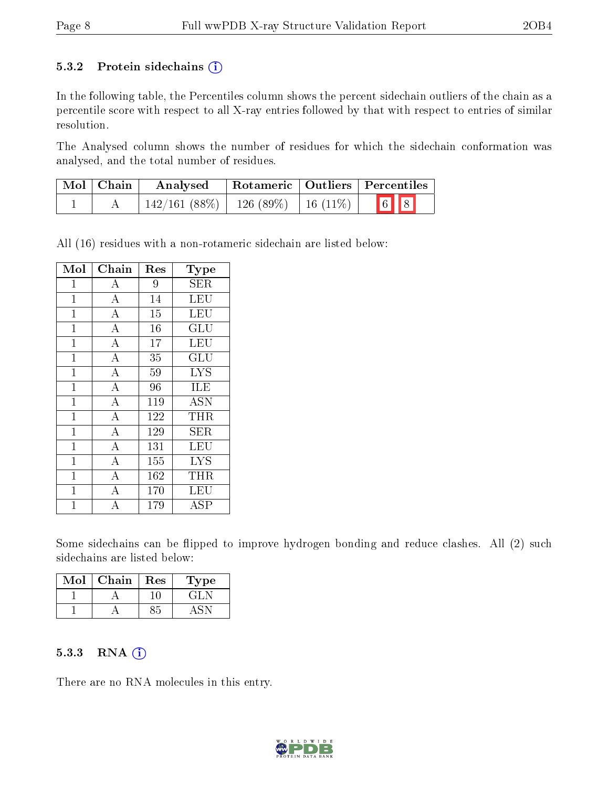#### 5.3.2 Protein sidechains  $(i)$

In the following table, the Percentiles column shows the percent sidechain outliers of the chain as a percentile score with respect to all X-ray entries followed by that with respect to entries of similar resolution.

The Analysed column shows the number of residues for which the sidechain conformation was analysed, and the total number of residues.

| $\mid$ Mol $\mid$ Chain | Analysed                                  | Rotameric   Outliers   Percentiles |                                                                                        |
|-------------------------|-------------------------------------------|------------------------------------|----------------------------------------------------------------------------------------|
|                         | $142/161$ (88\%)   126 (89\%)   16 (11\%) |                                    | $\begin{array}{ c c c c c }\hline \text{6} & \text{8} & \text{8} \\\hline \end{array}$ |

All (16) residues with a non-rotameric sidechain are listed below:

| Mol            | Chain              | Res | Type                    |
|----------------|--------------------|-----|-------------------------|
| 1              | А                  | 9   | <b>SER</b>              |
| $\mathbf{1}$   | $\overline{\rm A}$ | 14  | $\overline{\text{LEU}}$ |
| $\mathbf{1}$   | $\overline{\rm A}$ | 15  | LEU                     |
| $\mathbf 1$    | $\overline{\rm A}$ | 16  | GLU                     |
| $\mathbf{1}$   | $\overline{A}$     | 17  | LEU                     |
| $\mathbf{1}$   | $\overline{\rm A}$ | 35  | GLU                     |
| $\mathbf{1}$   | $\overline{\rm A}$ | 59  | ĪYS                     |
| $\mathbf{1}$   | $\overline{\rm A}$ | 96  | ILE                     |
| $\mathbf{1}$   | $\overline{\rm A}$ | 119 | $\overline{\rm{ASN}}$   |
| $\overline{1}$ | $\overline{\rm A}$ | 122 | <b>THR</b>              |
| $\overline{1}$ | $\overline{\rm A}$ | 129 | <b>SER</b>              |
| $\mathbf{1}$   | $\overline{\rm A}$ | 131 | LEU                     |
| $\mathbf{1}$   | $\overline{\rm A}$ | 155 | <b>LYS</b>              |
| $\overline{1}$ | $\overline{\rm A}$ | 162 | THR                     |
| $\overline{1}$ | $\overline{\rm A}$ | 170 | LEU                     |
| 1              | А                  | 179 | ASP                     |

Some sidechains can be flipped to improve hydrogen bonding and reduce clashes. All (2) such sidechains are listed below:

| Mol | Chain | Res | Type                          |
|-----|-------|-----|-------------------------------|
|     |       |     | $-\left(\frac{3}{4}\right)$ N |
|     |       |     |                               |

#### 5.3.3 RNA (i)

There are no RNA molecules in this entry.

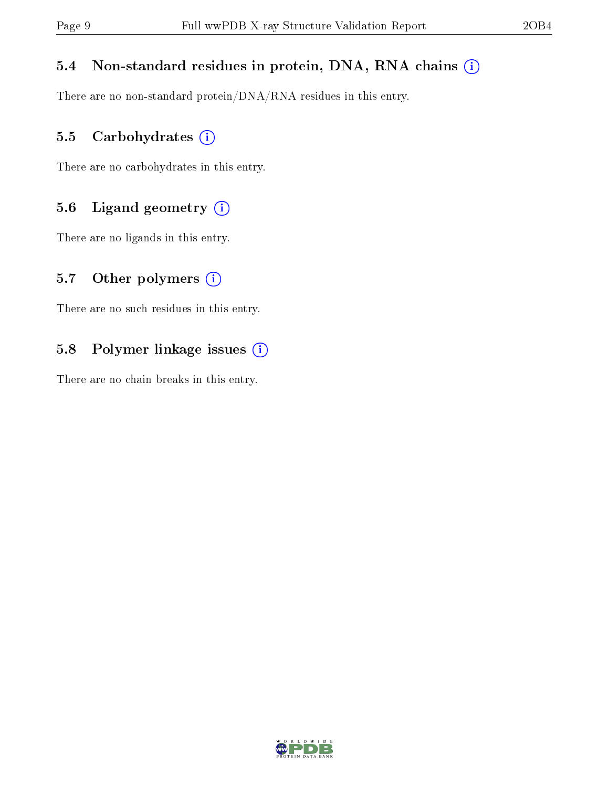#### 5.4 Non-standard residues in protein, DNA, RNA chains (i)

There are no non-standard protein/DNA/RNA residues in this entry.

#### 5.5 Carbohydrates (i)

There are no carbohydrates in this entry.

#### 5.6 Ligand geometry (i)

There are no ligands in this entry.

#### 5.7 [O](https://www.wwpdb.org/validation/2017/XrayValidationReportHelp#nonstandard_residues_and_ligands)ther polymers  $(i)$

There are no such residues in this entry.

#### 5.8 Polymer linkage issues (i)

There are no chain breaks in this entry.